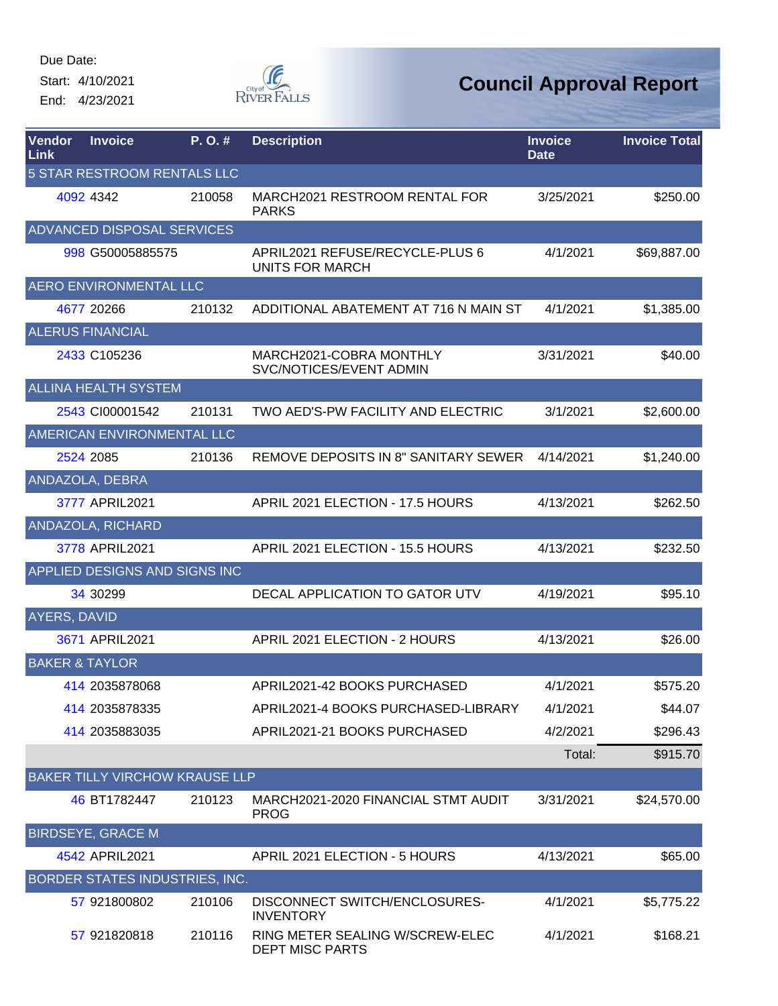Start: 4/10/2021 End: 4/23/2021



| Vendor<br>Link | <b>Invoice</b>                        | P.O.#  | <b>Description</b>                                 | <b>Invoice</b><br><b>Date</b> | <b>Invoice Total</b> |
|----------------|---------------------------------------|--------|----------------------------------------------------|-------------------------------|----------------------|
|                | 5 STAR RESTROOM RENTALS LLC           |        |                                                    |                               |                      |
|                | 4092 4342                             | 210058 | MARCH2021 RESTROOM RENTAL FOR<br><b>PARKS</b>      | 3/25/2021                     | \$250.00             |
|                | ADVANCED DISPOSAL SERVICES            |        |                                                    |                               |                      |
|                | 998 G50005885575                      |        | APRIL2021 REFUSE/RECYCLE-PLUS 6<br>UNITS FOR MARCH | 4/1/2021                      | \$69,887.00          |
|                | <b>AERO ENVIRONMENTAL LLC</b>         |        |                                                    |                               |                      |
|                | 4677 20266                            | 210132 | ADDITIONAL ABATEMENT AT 716 N MAIN ST              | 4/1/2021                      | \$1,385.00           |
|                | <b>ALERUS FINANCIAL</b>               |        |                                                    |                               |                      |
|                | 2433 C105236                          |        | MARCH2021-COBRA MONTHLY<br>SVC/NOTICES/EVENT ADMIN | 3/31/2021                     | \$40.00              |
|                | <b>ALLINA HEALTH SYSTEM</b>           |        |                                                    |                               |                      |
|                | 2543 CI00001542                       | 210131 | TWO AED'S-PW FACILITY AND ELECTRIC                 | 3/1/2021                      | \$2,600.00           |
|                | AMERICAN ENVIRONMENTAL LLC            |        |                                                    |                               |                      |
|                | 2524 2085                             | 210136 | <b>REMOVE DEPOSITS IN 8" SANITARY SEWER</b>        | 4/14/2021                     | \$1,240.00           |
|                | ANDAZOLA, DEBRA                       |        |                                                    |                               |                      |
|                | 3777 APRIL2021                        |        | APRIL 2021 ELECTION - 17.5 HOURS                   | 4/13/2021                     | \$262.50             |
|                | ANDAZOLA, RICHARD                     |        |                                                    |                               |                      |
|                | 3778 APRIL2021                        |        | APRIL 2021 ELECTION - 15.5 HOURS                   | 4/13/2021                     | \$232.50             |
|                | APPLIED DESIGNS AND SIGNS INC         |        |                                                    |                               |                      |
|                | 34 30299                              |        | DECAL APPLICATION TO GATOR UTV                     | 4/19/2021                     | \$95.10              |
| AYERS, DAVID   |                                       |        |                                                    |                               |                      |
|                | 3671 APRIL2021                        |        | APRIL 2021 ELECTION - 2 HOURS                      | 4/13/2021                     | \$26.00              |
|                | <b>BAKER &amp; TAYLOR</b>             |        |                                                    |                               |                      |
|                | 414 2035878068                        |        | APRIL2021-42 BOOKS PURCHASED                       | 4/1/2021                      | \$575.20             |
|                | 414 2035878335                        |        | APRIL2021-4 BOOKS PURCHASED-LIBRARY                | 4/1/2021                      | \$44.07              |
|                | 414 2035883035                        |        | APRIL2021-21 BOOKS PURCHASED                       | 4/2/2021                      | \$296.43             |
|                |                                       |        |                                                    | Total:                        | \$915.70             |
|                | <b>BAKER TILLY VIRCHOW KRAUSE LLP</b> |        |                                                    |                               |                      |
|                | 46 BT1782447                          | 210123 | MARCH2021-2020 FINANCIAL STMT AUDIT<br><b>PROG</b> | 3/31/2021                     | \$24,570.00          |
|                | <b>BIRDSEYE, GRACE M</b>              |        |                                                    |                               |                      |
|                | 4542 APRIL2021                        |        | APRIL 2021 ELECTION - 5 HOURS                      | 4/13/2021                     | \$65.00              |
|                | BORDER STATES INDUSTRIES, INC.        |        |                                                    |                               |                      |
|                | 57 921800802                          | 210106 | DISCONNECT SWITCH/ENCLOSURES-<br><b>INVENTORY</b>  | 4/1/2021                      | \$5,775.22           |
|                | 57 921820818                          | 210116 | RING METER SEALING W/SCREW-ELEC<br>DEPT MISC PARTS | 4/1/2021                      | \$168.21             |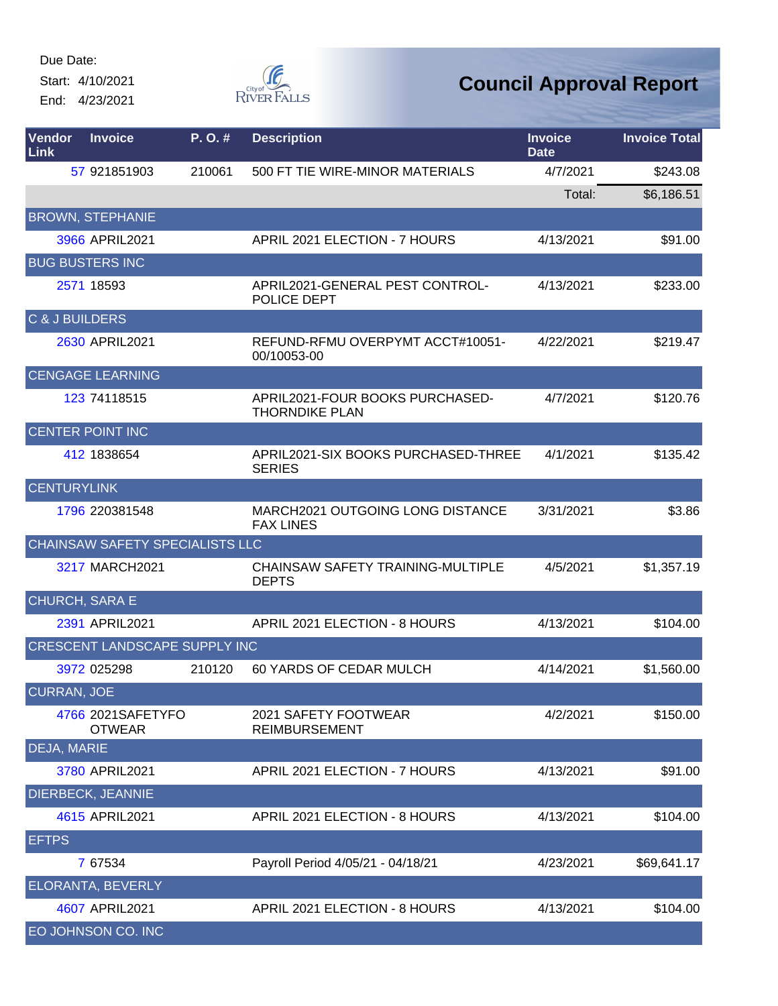Start: 4/10/2021

End: 4/23/2021



| <b>Vendor</b><br>Link     | <b>Invoice</b>                       | P. O. # | <b>Description</b>                                       | <b>Invoice</b><br><b>Date</b> | <b>Invoice Total</b> |
|---------------------------|--------------------------------------|---------|----------------------------------------------------------|-------------------------------|----------------------|
|                           | 57 921851903                         | 210061  | 500 FT TIE WIRE-MINOR MATERIALS                          | 4/7/2021                      | \$243.08             |
|                           |                                      |         |                                                          | Total:                        | \$6,186.51           |
|                           | <b>BROWN, STEPHANIE</b>              |         |                                                          |                               |                      |
|                           | 3966 APRIL2021                       |         | APRIL 2021 ELECTION - 7 HOURS                            | 4/13/2021                     | \$91.00              |
|                           | <b>BUG BUSTERS INC</b>               |         |                                                          |                               |                      |
|                           | 2571 18593                           |         | APRIL2021-GENERAL PEST CONTROL-<br>POLICE DEPT           | 4/13/2021                     | \$233.00             |
| <b>C &amp; J BUILDERS</b> |                                      |         |                                                          |                               |                      |
|                           | 2630 APRIL2021                       |         | REFUND-RFMU OVERPYMT ACCT#10051-<br>00/10053-00          | 4/22/2021                     | \$219.47             |
|                           | <b>CENGAGE LEARNING</b>              |         |                                                          |                               |                      |
|                           | 123 74118515                         |         | APRIL2021-FOUR BOOKS PURCHASED-<br><b>THORNDIKE PLAN</b> | 4/7/2021                      | \$120.76             |
|                           | <b>CENTER POINT INC</b>              |         |                                                          |                               |                      |
|                           | 412 1838654                          |         | APRIL2021-SIX BOOKS PURCHASED-THREE<br><b>SERIES</b>     | 4/1/2021                      | \$135.42             |
| <b>CENTURYLINK</b>        |                                      |         |                                                          |                               |                      |
|                           | 1796 220381548                       |         | MARCH2021 OUTGOING LONG DISTANCE<br><b>FAX LINES</b>     | 3/31/2021                     | \$3.86               |
|                           | CHAINSAW SAFETY SPECIALISTS LLC      |         |                                                          |                               |                      |
|                           | 3217 MARCH2021                       |         | CHAINSAW SAFETY TRAINING-MULTIPLE<br><b>DEPTS</b>        | 4/5/2021                      | \$1,357.19           |
| CHURCH, SARA E            |                                      |         |                                                          |                               |                      |
|                           | 2391 APRIL2021                       |         | APRIL 2021 ELECTION - 8 HOURS                            | 4/13/2021                     | \$104.00             |
|                           | CRESCENT LANDSCAPE SUPPLY INC        |         |                                                          |                               |                      |
|                           | 3972 025298                          | 210120  | 60 YARDS OF CEDAR MULCH                                  | 4/14/2021                     | \$1,560.00           |
| <b>CURRAN, JOE</b>        |                                      |         |                                                          |                               |                      |
|                           | 4766 2021 SAFETY FO<br><b>OTWEAR</b> |         | 2021 SAFETY FOOTWEAR<br><b>REIMBURSEMENT</b>             | 4/2/2021                      | \$150.00             |
| DEJA, MARIE               |                                      |         |                                                          |                               |                      |
|                           | 3780 APRIL2021                       |         | APRIL 2021 ELECTION - 7 HOURS                            | 4/13/2021                     | \$91.00              |
|                           | DIERBECK, JEANNIE                    |         |                                                          |                               |                      |
|                           | 4615 APRIL2021                       |         | APRIL 2021 ELECTION - 8 HOURS                            | 4/13/2021                     | \$104.00             |
| <b>EFTPS</b>              |                                      |         |                                                          |                               |                      |
|                           | 7 67534                              |         | Payroll Period 4/05/21 - 04/18/21                        | 4/23/2021                     | \$69,641.17          |
|                           | ELORANTA, BEVERLY                    |         |                                                          |                               |                      |
|                           | 4607 APRIL2021                       |         | APRIL 2021 ELECTION - 8 HOURS                            | 4/13/2021                     | \$104.00             |
|                           | EO JOHNSON CO. INC                   |         |                                                          |                               |                      |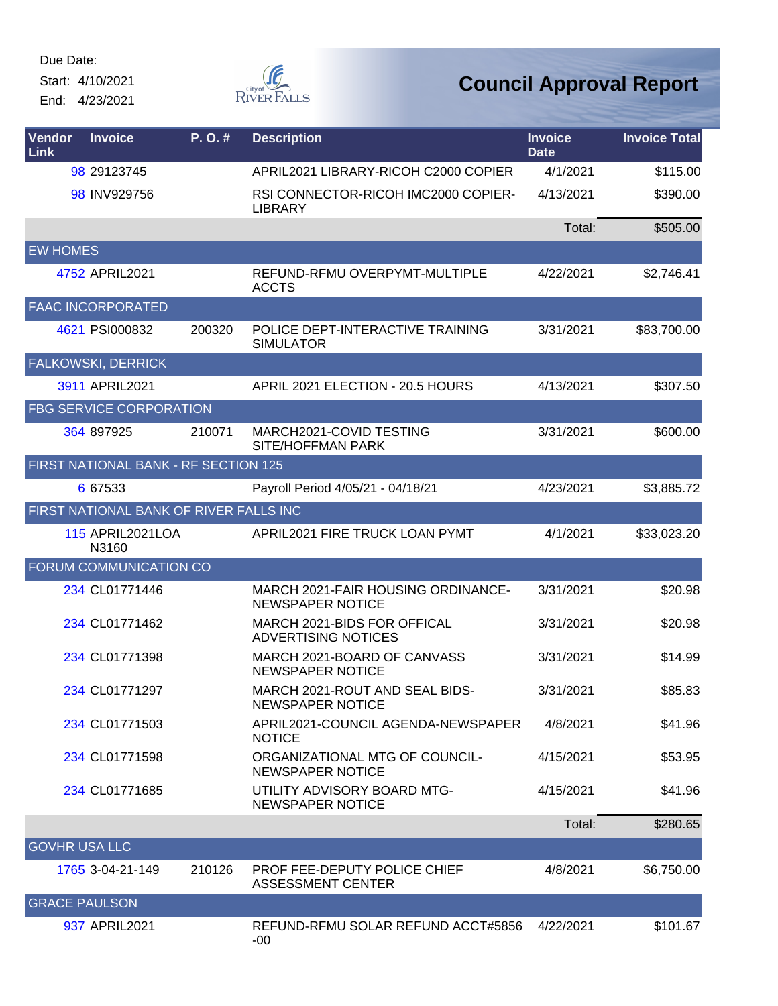Start: 4/10/2021 End: 4/23/2021



| Vendor<br><b>Link</b> | <b>Invoice</b>                         | P.O.#  | <b>Description</b>                                              | <b>Invoice</b><br><b>Date</b> | <b>Invoice Total</b> |
|-----------------------|----------------------------------------|--------|-----------------------------------------------------------------|-------------------------------|----------------------|
|                       | 98 29123745                            |        | APRIL2021 LIBRARY-RICOH C2000 COPIER                            | 4/1/2021                      | \$115.00             |
|                       | 98 INV929756                           |        | RSI CONNECTOR-RICOH IMC2000 COPIER-<br><b>LIBRARY</b>           | 4/13/2021                     | \$390.00             |
|                       |                                        |        |                                                                 | Total:                        | \$505.00             |
| <b>EW HOMES</b>       |                                        |        |                                                                 |                               |                      |
|                       | 4752 APRIL2021                         |        | REFUND-RFMU OVERPYMT-MULTIPLE<br><b>ACCTS</b>                   | 4/22/2021                     | \$2,746.41           |
|                       | <b>FAAC INCORPORATED</b>               |        |                                                                 |                               |                      |
|                       | 4621 PSI000832                         | 200320 | POLICE DEPT-INTERACTIVE TRAINING<br><b>SIMULATOR</b>            | 3/31/2021                     | \$83,700.00          |
|                       | <b>FALKOWSKI, DERRICK</b>              |        |                                                                 |                               |                      |
|                       | 3911 APRIL2021                         |        | APRIL 2021 ELECTION - 20.5 HOURS                                | 4/13/2021                     | \$307.50             |
|                       | <b>FBG SERVICE CORPORATION</b>         |        |                                                                 |                               |                      |
|                       | 364 897925                             | 210071 | MARCH2021-COVID TESTING<br>SITE/HOFFMAN PARK                    | 3/31/2021                     | \$600.00             |
|                       | FIRST NATIONAL BANK - RF SECTION 125   |        |                                                                 |                               |                      |
|                       | 6 67533                                |        | Payroll Period 4/05/21 - 04/18/21                               | 4/23/2021                     | \$3,885.72           |
|                       | FIRST NATIONAL BANK OF RIVER FALLS INC |        |                                                                 |                               |                      |
|                       | <b>115 APRIL2021LOA</b><br>N3160       |        | APRIL2021 FIRE TRUCK LOAN PYMT                                  | 4/1/2021                      | \$33,023.20          |
|                       | FORUM COMMUNICATION CO                 |        |                                                                 |                               |                      |
|                       | 234 CL01771446                         |        | MARCH 2021-FAIR HOUSING ORDINANCE-<br>NEWSPAPER NOTICE          | 3/31/2021                     | \$20.98              |
|                       | 234 CL01771462                         |        | MARCH 2021-BIDS FOR OFFICAL<br><b>ADVERTISING NOTICES</b>       | 3/31/2021                     | \$20.98              |
|                       | 234 CL01771398                         |        | MARCH 2021-BOARD OF CANVASS<br><b>NEWSPAPER NOTICE</b>          | 3/31/2021                     | \$14.99              |
|                       | 234 CL01771297                         |        | MARCH 2021-ROUT AND SEAL BIDS-<br>NEWSPAPER NOTICE              | 3/31/2021                     | \$85.83              |
|                       | 234 CL01771503                         |        | APRIL2021-COUNCIL AGENDA-NEWSPAPER<br><b>NOTICE</b>             | 4/8/2021                      | \$41.96              |
|                       | 234 CL01771598                         |        | ORGANIZATIONAL MTG OF COUNCIL-<br><b>NEWSPAPER NOTICE</b>       | 4/15/2021                     | \$53.95              |
|                       | 234 CL01771685                         |        | UTILITY ADVISORY BOARD MTG-<br><b>NEWSPAPER NOTICE</b>          | 4/15/2021                     | \$41.96              |
|                       |                                        |        |                                                                 | Total:                        | \$280.65             |
| <b>GOVHR USA LLC</b>  |                                        |        |                                                                 |                               |                      |
|                       | 1765 3-04-21-149                       | 210126 | <b>PROF FEE-DEPUTY POLICE CHIEF</b><br><b>ASSESSMENT CENTER</b> | 4/8/2021                      | \$6,750.00           |
| <b>GRACE PAULSON</b>  |                                        |        |                                                                 |                               |                      |
|                       | 937 APRIL2021                          |        | REFUND-RFMU SOLAR REFUND ACCT#5856<br>$-00$                     | 4/22/2021                     | \$101.67             |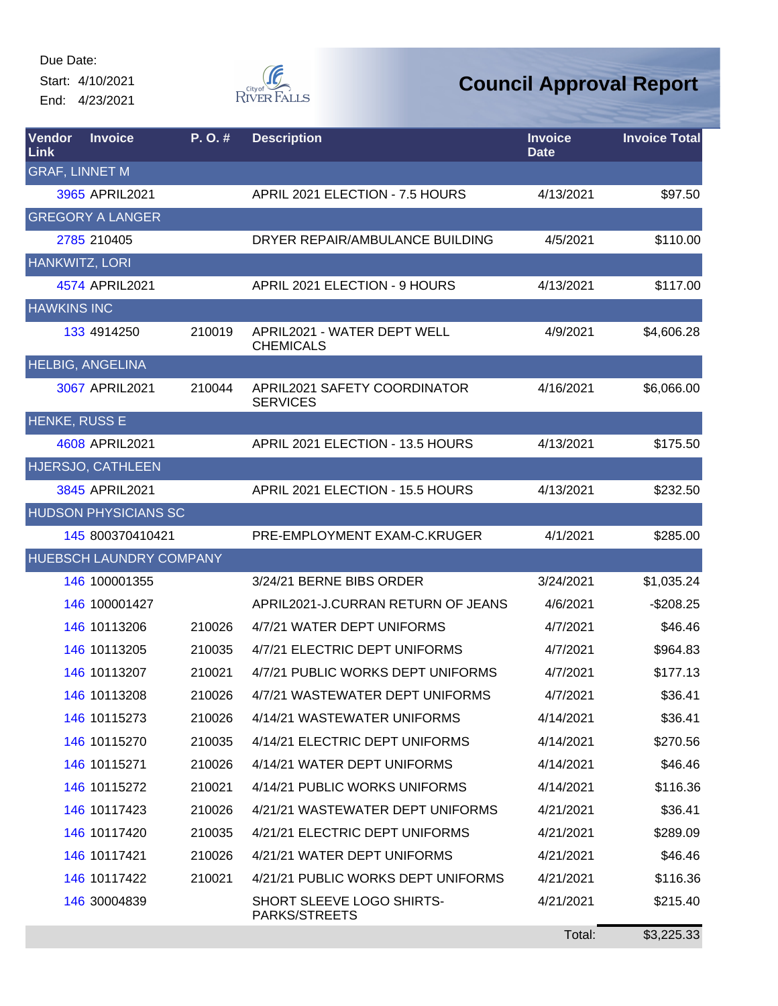Start: 4/10/2021 End: 4/23/2021



| Vendor<br>Link        | <b>Invoice</b>                 | P.O.#  | <b>Description</b>                              | <b>Invoice</b><br><b>Date</b> | <b>Invoice Total</b> |
|-----------------------|--------------------------------|--------|-------------------------------------------------|-------------------------------|----------------------|
| <b>GRAF, LINNET M</b> |                                |        |                                                 |                               |                      |
|                       | 3965 APRIL2021                 |        | APRIL 2021 ELECTION - 7.5 HOURS                 | 4/13/2021                     | \$97.50              |
|                       | <b>GREGORY A LANGER</b>        |        |                                                 |                               |                      |
|                       | 2785 210405                    |        | DRYER REPAIR/AMBULANCE BUILDING                 | 4/5/2021                      | \$110.00             |
| HANKWITZ, LORI        |                                |        |                                                 |                               |                      |
|                       | 4574 APRIL2021                 |        | APRIL 2021 ELECTION - 9 HOURS                   | 4/13/2021                     | \$117.00             |
| <b>HAWKINS INC</b>    |                                |        |                                                 |                               |                      |
|                       | 133 4914250                    | 210019 | APRIL2021 - WATER DEPT WELL<br><b>CHEMICALS</b> | 4/9/2021                      | \$4,606.28           |
|                       | <b>HELBIG, ANGELINA</b>        |        |                                                 |                               |                      |
|                       | 3067 APRIL2021                 | 210044 | APRIL2021 SAFETY COORDINATOR<br><b>SERVICES</b> | 4/16/2021                     | \$6,066.00           |
| <b>HENKE, RUSS E</b>  |                                |        |                                                 |                               |                      |
|                       | 4608 APRIL2021                 |        | APRIL 2021 ELECTION - 13.5 HOURS                | 4/13/2021                     | \$175.50             |
|                       | HJERSJO, CATHLEEN              |        |                                                 |                               |                      |
|                       | 3845 APRIL2021                 |        | APRIL 2021 ELECTION - 15.5 HOURS                | 4/13/2021                     | \$232.50             |
|                       | <b>HUDSON PHYSICIANS SC</b>    |        |                                                 |                               |                      |
|                       | 145 800370410421               |        | PRE-EMPLOYMENT EXAM-C.KRUGER                    | 4/1/2021                      | \$285.00             |
|                       | <b>HUEBSCH LAUNDRY COMPANY</b> |        |                                                 |                               |                      |
|                       | 146 100001355                  |        | 3/24/21 BERNE BIBS ORDER                        | 3/24/2021                     | \$1,035.24           |
|                       | 146 100001427                  |        | APRIL2021-J.CURRAN RETURN OF JEANS              | 4/6/2021                      | $-$208.25$           |
|                       | 146 10113206                   | 210026 | 4/7/21 WATER DEPT UNIFORMS                      | 4/7/2021                      | \$46.46              |
|                       | 146 10113205                   | 210035 | 4/7/21 ELECTRIC DEPT UNIFORMS                   | 4/7/2021                      | \$964.83             |
|                       | 146 10113207                   | 210021 | 4/7/21 PUBLIC WORKS DEPT UNIFORMS               | 4/7/2021                      | \$177.13             |
|                       | 146 10113208                   | 210026 | 4/7/21 WASTEWATER DEPT UNIFORMS                 | 4/7/2021                      | \$36.41              |
|                       | 146 10115273                   | 210026 | 4/14/21 WASTEWATER UNIFORMS                     | 4/14/2021                     | \$36.41              |
|                       | 146 10115270                   | 210035 | 4/14/21 ELECTRIC DEPT UNIFORMS                  | 4/14/2021                     | \$270.56             |
|                       | 146 10115271                   | 210026 | 4/14/21 WATER DEPT UNIFORMS                     | 4/14/2021                     | \$46.46              |
|                       | 146 10115272                   | 210021 | 4/14/21 PUBLIC WORKS UNIFORMS                   | 4/14/2021                     | \$116.36             |
|                       | 146 10117423                   | 210026 | 4/21/21 WASTEWATER DEPT UNIFORMS                | 4/21/2021                     | \$36.41              |
|                       | 146 10117420                   | 210035 | 4/21/21 ELECTRIC DEPT UNIFORMS                  | 4/21/2021                     | \$289.09             |
|                       | 146 10117421                   | 210026 | 4/21/21 WATER DEPT UNIFORMS                     | 4/21/2021                     | \$46.46              |
|                       | 146 10117422                   | 210021 | 4/21/21 PUBLIC WORKS DEPT UNIFORMS              | 4/21/2021                     | \$116.36             |
|                       | 146 30004839                   |        | SHORT SLEEVE LOGO SHIRTS-<br>PARKS/STREETS      | 4/21/2021                     | \$215.40             |
|                       |                                |        |                                                 | Total:                        | \$3,225.33           |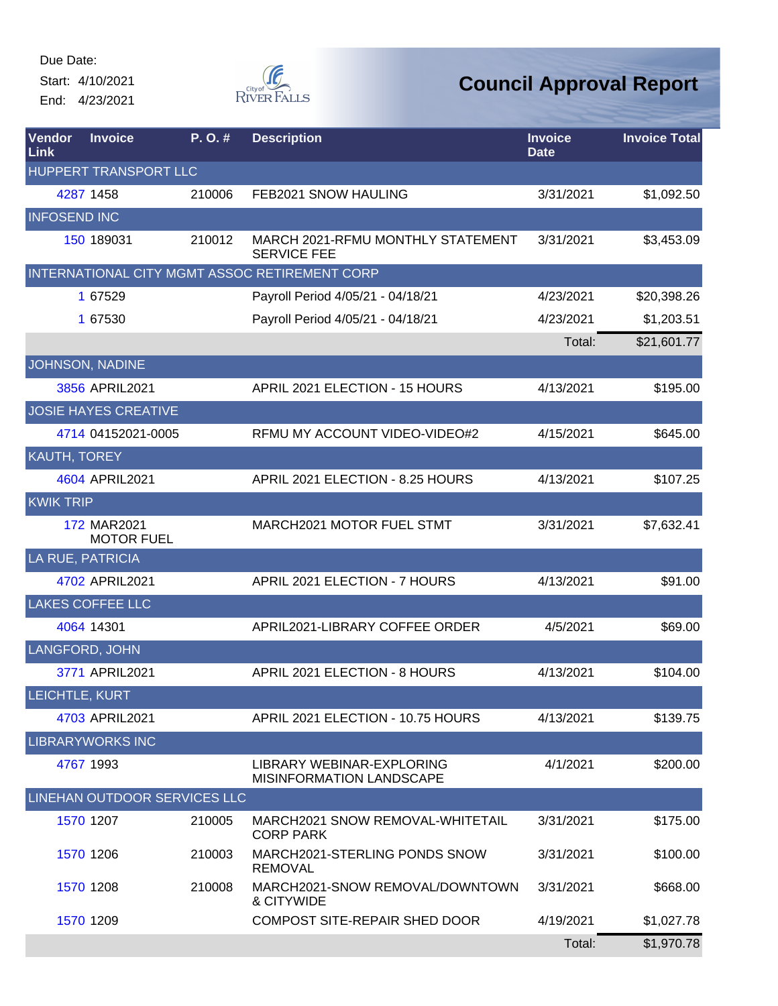Start: 4/10/2021 End: 4/23/2021



| Vendor<br>Link      | <b>Invoice</b>                   | P. O. # | <b>Description</b>                                           | <b>Invoice</b><br><b>Date</b> | <b>Invoice Total</b> |
|---------------------|----------------------------------|---------|--------------------------------------------------------------|-------------------------------|----------------------|
|                     | HUPPERT TRANSPORT LLC            |         |                                                              |                               |                      |
|                     | 4287 1458                        | 210006  | FEB2021 SNOW HAULING                                         | 3/31/2021                     | \$1,092.50           |
| <b>INFOSEND INC</b> |                                  |         |                                                              |                               |                      |
|                     | 150 189031                       | 210012  | MARCH 2021-RFMU MONTHLY STATEMENT<br><b>SERVICE FEE</b>      | 3/31/2021                     | \$3,453.09           |
|                     |                                  |         | INTERNATIONAL CITY MGMT ASSOC RETIREMENT CORP                |                               |                      |
|                     | 1 67529                          |         | Payroll Period 4/05/21 - 04/18/21                            | 4/23/2021                     | \$20,398.26          |
|                     | 1 67530                          |         | Payroll Period 4/05/21 - 04/18/21                            | 4/23/2021                     | \$1,203.51           |
|                     |                                  |         |                                                              | Total:                        | \$21,601.77          |
|                     | JOHNSON, NADINE                  |         |                                                              |                               |                      |
|                     | 3856 APRIL2021                   |         | APRIL 2021 ELECTION - 15 HOURS                               | 4/13/2021                     | \$195.00             |
|                     | <b>JOSIE HAYES CREATIVE</b>      |         |                                                              |                               |                      |
|                     | 4714 04152021-0005               |         | RFMU MY ACCOUNT VIDEO-VIDEO#2                                | 4/15/2021                     | \$645.00             |
| <b>KAUTH, TOREY</b> |                                  |         |                                                              |                               |                      |
|                     | 4604 APRIL2021                   |         | APRIL 2021 ELECTION - 8.25 HOURS                             | 4/13/2021                     | \$107.25             |
| <b>KWIK TRIP</b>    |                                  |         |                                                              |                               |                      |
|                     | 172 MAR2021<br><b>MOTOR FUEL</b> |         | MARCH2021 MOTOR FUEL STMT                                    | 3/31/2021                     | \$7,632.41           |
|                     | LA RUE, PATRICIA                 |         |                                                              |                               |                      |
|                     | 4702 APRIL2021                   |         | APRIL 2021 ELECTION - 7 HOURS                                | 4/13/2021                     | \$91.00              |
|                     | <b>LAKES COFFEE LLC</b>          |         |                                                              |                               |                      |
|                     | 4064 14301                       |         | APRIL2021-LIBRARY COFFEE ORDER                               | 4/5/2021                      | \$69.00              |
|                     | LANGFORD, JOHN                   |         |                                                              |                               |                      |
|                     | 3771 APRIL2021                   |         | APRIL 2021 ELECTION - 8 HOURS                                | 4/13/2021                     | \$104.00             |
| LEICHTLE, KURT      |                                  |         |                                                              |                               |                      |
|                     | 4703 APRIL2021                   |         | APRIL 2021 ELECTION - 10.75 HOURS                            | 4/13/2021                     | \$139.75             |
|                     | <b>LIBRARYWORKS INC</b>          |         |                                                              |                               |                      |
|                     | 4767 1993                        |         | LIBRARY WEBINAR-EXPLORING<br><b>MISINFORMATION LANDSCAPE</b> | 4/1/2021                      | \$200.00             |
|                     | LINEHAN OUTDOOR SERVICES LLC     |         |                                                              |                               |                      |
|                     | 1570 1207                        | 210005  | MARCH2021 SNOW REMOVAL-WHITETAIL<br><b>CORP PARK</b>         | 3/31/2021                     | \$175.00             |
|                     | 1570 1206                        | 210003  | MARCH2021-STERLING PONDS SNOW<br><b>REMOVAL</b>              | 3/31/2021                     | \$100.00             |
|                     | 1570 1208                        | 210008  | MARCH2021-SNOW REMOVAL/DOWNTOWN<br>& CITYWIDE                | 3/31/2021                     | \$668.00             |
|                     | 1570 1209                        |         | <b>COMPOST SITE-REPAIR SHED DOOR</b>                         | 4/19/2021                     | \$1,027.78           |
|                     |                                  |         |                                                              | Total:                        | \$1,970.78           |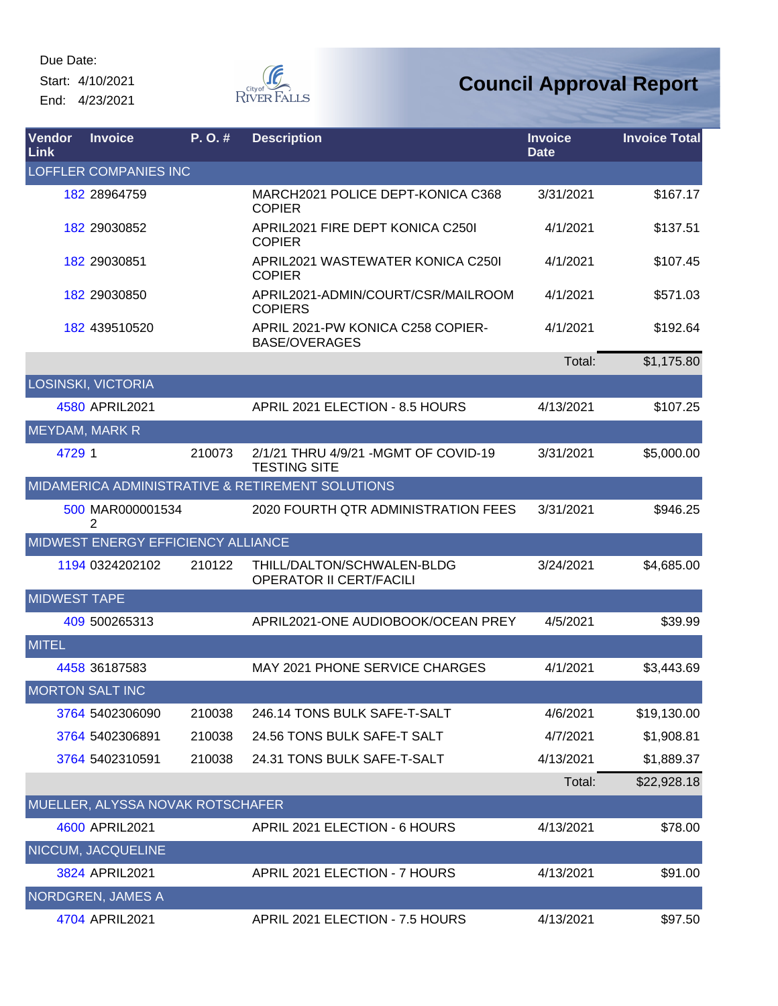Due Date: Start: 4/10/2021

End: 4/23/2021



| Vendor<br><b>Link</b> | <b>Invoice</b>                     | P.O.#  | <b>Description</b>                                           | <b>Invoice</b><br><b>Date</b> | <b>Invoice Total</b> |
|-----------------------|------------------------------------|--------|--------------------------------------------------------------|-------------------------------|----------------------|
|                       | <b>LOFFLER COMPANIES INC</b>       |        |                                                              |                               |                      |
|                       | 182 28964759                       |        | MARCH2021 POLICE DEPT-KONICA C368<br><b>COPIER</b>           | 3/31/2021                     | \$167.17             |
|                       | 182 29030852                       |        | APRIL2021 FIRE DEPT KONICA C2501<br><b>COPIER</b>            | 4/1/2021                      | \$137.51             |
|                       | 182 29030851                       |        | APRIL2021 WASTEWATER KONICA C2501<br><b>COPIER</b>           | 4/1/2021                      | \$107.45             |
|                       | 182 29030850                       |        | APRIL2021-ADMIN/COURT/CSR/MAILROOM<br><b>COPIERS</b>         | 4/1/2021                      | \$571.03             |
|                       | 182 439510520                      |        | APRIL 2021-PW KONICA C258 COPIER-<br><b>BASE/OVERAGES</b>    | 4/1/2021                      | \$192.64             |
|                       |                                    |        |                                                              | Total:                        | \$1,175.80           |
|                       | <b>LOSINSKI, VICTORIA</b>          |        |                                                              |                               |                      |
|                       | 4580 APRIL2021                     |        | APRIL 2021 ELECTION - 8.5 HOURS                              | 4/13/2021                     | \$107.25             |
| <b>MEYDAM, MARK R</b> |                                    |        |                                                              |                               |                      |
| 4729 1                |                                    | 210073 | 2/1/21 THRU 4/9/21 - MGMT OF COVID-19<br><b>TESTING SITE</b> | 3/31/2021                     | \$5,000.00           |
|                       |                                    |        | MIDAMERICA ADMINISTRATIVE & RETIREMENT SOLUTIONS             |                               |                      |
|                       | 500 MAR000001534<br>2              |        | 2020 FOURTH QTR ADMINISTRATION FEES                          | 3/31/2021                     | \$946.25             |
|                       | MIDWEST ENERGY EFFICIENCY ALLIANCE |        |                                                              |                               |                      |
|                       | 1194 0324202102                    | 210122 | THILL/DALTON/SCHWALEN-BLDG<br><b>OPERATOR II CERT/FACILI</b> | 3/24/2021                     | \$4,685.00           |
| <b>MIDWEST TAPE</b>   |                                    |        |                                                              |                               |                      |
|                       | 409 500265313                      |        | APRIL2021-ONE AUDIOBOOK/OCEAN PREY                           | 4/5/2021                      | \$39.99              |
| <b>MITEL</b>          |                                    |        |                                                              |                               |                      |
|                       | 4458 36187583                      |        | MAY 2021 PHONE SERVICE CHARGES                               | 4/1/2021                      | \$3,443.69           |
|                       | <b>MORTON SALT INC</b>             |        |                                                              |                               |                      |
|                       | 3764 5402306090                    | 210038 | 246.14 TONS BULK SAFE-T-SALT                                 | 4/6/2021                      | \$19,130.00          |
|                       | 3764 5402306891                    | 210038 | 24.56 TONS BULK SAFE-T SALT                                  | 4/7/2021                      | \$1,908.81           |
|                       | 3764 5402310591                    | 210038 | 24.31 TONS BULK SAFE-T-SALT                                  | 4/13/2021                     | \$1,889.37           |
|                       |                                    |        |                                                              | Total:                        | \$22,928.18          |
|                       | MUELLER, ALYSSA NOVAK ROTSCHAFER   |        |                                                              |                               |                      |
|                       | 4600 APRIL2021                     |        | APRIL 2021 ELECTION - 6 HOURS                                | 4/13/2021                     | \$78.00              |
|                       | <b>NICCUM, JACQUELINE</b>          |        |                                                              |                               |                      |
|                       | 3824 APRIL2021                     |        | APRIL 2021 ELECTION - 7 HOURS                                | 4/13/2021                     | \$91.00              |
|                       | <b>NORDGREN, JAMES A</b>           |        |                                                              |                               |                      |
|                       | 4704 APRIL2021                     |        | APRIL 2021 ELECTION - 7.5 HOURS                              | 4/13/2021                     | \$97.50              |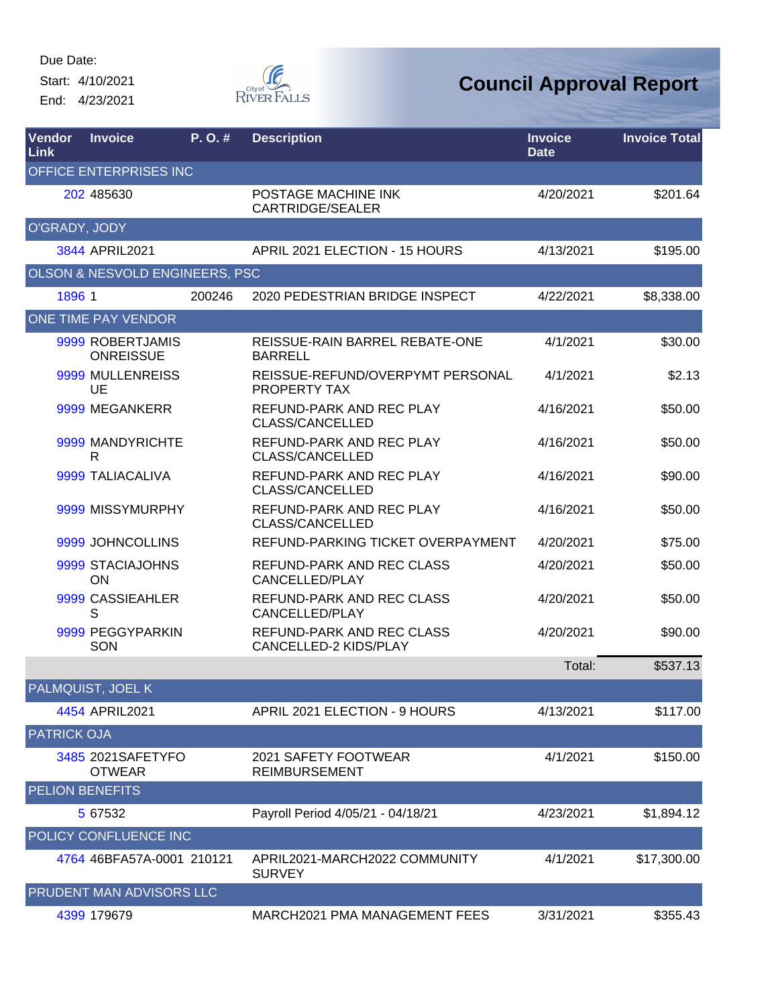Start: 4/10/2021 End: 4/23/2021



| Vendor<br>Link     | <b>Invoice</b>                       | $P. O.$ # | <b>Description</b>                                 | <b>Invoice</b><br><b>Date</b> | <b>Invoice Total</b> |
|--------------------|--------------------------------------|-----------|----------------------------------------------------|-------------------------------|----------------------|
|                    | <b>OFFICE ENTERPRISES INC</b>        |           |                                                    |                               |                      |
|                    | 202 485630                           |           | POSTAGE MACHINE INK<br><b>CARTRIDGE/SEALER</b>     | 4/20/2021                     | \$201.64             |
| O'GRADY, JODY      |                                      |           |                                                    |                               |                      |
|                    | 3844 APRIL2021                       |           | APRIL 2021 ELECTION - 15 HOURS                     | 4/13/2021                     | \$195.00             |
|                    | OLSON & NESVOLD ENGINEERS, PSC       |           |                                                    |                               |                      |
| 1896 1             |                                      | 200246    | 2020 PEDESTRIAN BRIDGE INSPECT                     | 4/22/2021                     | \$8,338.00           |
|                    | ONE TIME PAY VENDOR                  |           |                                                    |                               |                      |
|                    | 9999 ROBERTJAMIS<br><b>ONREISSUE</b> |           | REISSUE-RAIN BARREL REBATE-ONE<br><b>BARRELL</b>   | 4/1/2021                      | \$30.00              |
|                    | 9999 MULLENREISS<br>UE               |           | REISSUE-REFUND/OVERPYMT PERSONAL<br>PROPERTY TAX   | 4/1/2021                      | \$2.13               |
|                    | 9999 MEGANKERR                       |           | REFUND-PARK AND REC PLAY<br>CLASS/CANCELLED        | 4/16/2021                     | \$50.00              |
|                    | 9999 MANDYRICHTE<br>R                |           | REFUND-PARK AND REC PLAY<br>CLASS/CANCELLED        | 4/16/2021                     | \$50.00              |
|                    | 9999 TALIACALIVA                     |           | REFUND-PARK AND REC PLAY<br><b>CLASS/CANCELLED</b> | 4/16/2021                     | \$90.00              |
|                    | 9999 MISSYMURPHY                     |           | REFUND-PARK AND REC PLAY<br>CLASS/CANCELLED        | 4/16/2021                     | \$50.00              |
|                    | 9999 JOHNCOLLINS                     |           | REFUND-PARKING TICKET OVERPAYMENT                  | 4/20/2021                     | \$75.00              |
|                    | 9999 STACIAJOHNS<br><b>ON</b>        |           | REFUND-PARK AND REC CLASS<br>CANCELLED/PLAY        | 4/20/2021                     | \$50.00              |
|                    | 9999 CASSIEAHLER<br>S                |           | REFUND-PARK AND REC CLASS<br>CANCELLED/PLAY        | 4/20/2021                     | \$50.00              |
|                    | 9999 PEGGYPARKIN<br>SON              |           | REFUND-PARK AND REC CLASS<br>CANCELLED-2 KIDS/PLAY | 4/20/2021                     | \$90.00              |
|                    |                                      |           |                                                    | Total:                        | \$537.13             |
|                    | <b>PALMQUIST, JOEL K</b>             |           |                                                    |                               |                      |
|                    | 4454 APRIL2021                       |           | APRIL 2021 ELECTION - 9 HOURS                      | 4/13/2021                     | \$117.00             |
| <b>PATRICK OJA</b> |                                      |           |                                                    |                               |                      |
|                    | 3485 2021SAFETYFO<br><b>OTWEAR</b>   |           | 2021 SAFETY FOOTWEAR<br><b>REIMBURSEMENT</b>       | 4/1/2021                      | \$150.00             |
|                    | <b>PELION BENEFITS</b>               |           |                                                    |                               |                      |
|                    | 5 67532                              |           | Payroll Period 4/05/21 - 04/18/21                  | 4/23/2021                     | \$1,894.12           |
|                    | POLICY CONFLUENCE INC                |           |                                                    |                               |                      |
|                    | 4764 46BFA57A-0001 210121            |           | APRIL2021-MARCH2022 COMMUNITY<br><b>SURVEY</b>     | 4/1/2021                      | \$17,300.00          |
|                    | PRUDENT MAN ADVISORS LLC             |           |                                                    |                               |                      |
|                    | 4399 179679                          |           | MARCH2021 PMA MANAGEMENT FEES                      | 3/31/2021                     | \$355.43             |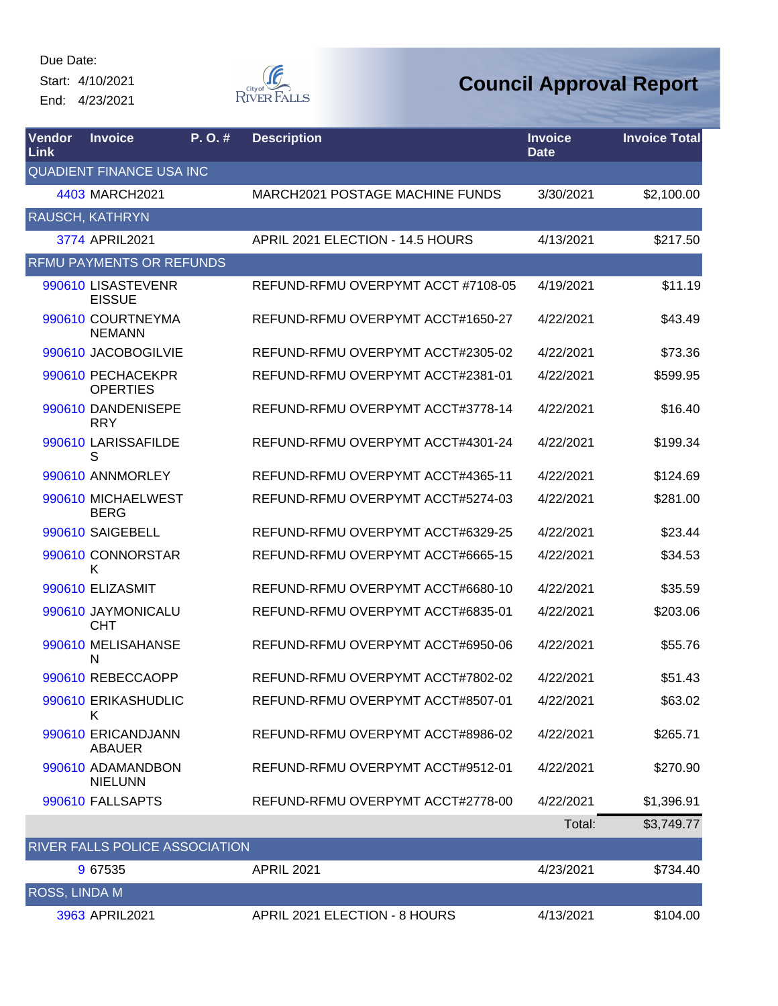Start: 4/10/2021 End: 4/23/2021



| <b>Vendor</b><br><b>Link</b> | <b>Invoice</b>                       | P. O. # | <b>Description</b>                     | <b>Invoice</b><br><b>Date</b> | <b>Invoice Total</b> |
|------------------------------|--------------------------------------|---------|----------------------------------------|-------------------------------|----------------------|
|                              | <b>QUADIENT FINANCE USA INC</b>      |         |                                        |                               |                      |
|                              | 4403 MARCH2021                       |         | <b>MARCH2021 POSTAGE MACHINE FUNDS</b> | 3/30/2021                     | \$2,100.00           |
|                              | RAUSCH, KATHRYN                      |         |                                        |                               |                      |
|                              | 3774 APRIL2021                       |         | APRIL 2021 ELECTION - 14.5 HOURS       | 4/13/2021                     | \$217.50             |
|                              | <b>RFMU PAYMENTS OR REFUNDS</b>      |         |                                        |                               |                      |
|                              | 990610 LISASTEVENR<br><b>EISSUE</b>  |         | REFUND-RFMU OVERPYMT ACCT #7108-05     | 4/19/2021                     | \$11.19              |
|                              | 990610 COURTNEYMA<br><b>NEMANN</b>   |         | REFUND-RFMU OVERPYMT ACCT#1650-27      | 4/22/2021                     | \$43.49              |
|                              | 990610 JACOBOGILVIE                  |         | REFUND-RFMU OVERPYMT ACCT#2305-02      | 4/22/2021                     | \$73.36              |
|                              | 990610 PECHACEKPR<br><b>OPERTIES</b> |         | REFUND-RFMU OVERPYMT ACCT#2381-01      | 4/22/2021                     | \$599.95             |
|                              | 990610 DANDENISEPE<br><b>RRY</b>     |         | REFUND-RFMU OVERPYMT ACCT#3778-14      | 4/22/2021                     | \$16.40              |
|                              | 990610 LARISSAFILDE<br>S             |         | REFUND-RFMU OVERPYMT ACCT#4301-24      | 4/22/2021                     | \$199.34             |
|                              | 990610 ANNMORLEY                     |         | REFUND-RFMU OVERPYMT ACCT#4365-11      | 4/22/2021                     | \$124.69             |
|                              | 990610 MICHAELWEST<br><b>BERG</b>    |         | REFUND-RFMU OVERPYMT ACCT#5274-03      | 4/22/2021                     | \$281.00             |
|                              | 990610 SAIGEBELL                     |         | REFUND-RFMU OVERPYMT ACCT#6329-25      | 4/22/2021                     | \$23.44              |
|                              | 990610 CONNORSTAR<br>K               |         | REFUND-RFMU OVERPYMT ACCT#6665-15      | 4/22/2021                     | \$34.53              |
|                              | 990610 ELIZASMIT                     |         | REFUND-RFMU OVERPYMT ACCT#6680-10      | 4/22/2021                     | \$35.59              |
|                              | 990610 JAYMONICALU<br><b>CHT</b>     |         | REFUND-RFMU OVERPYMT ACCT#6835-01      | 4/22/2021                     | \$203.06             |
|                              | 990610 MELISAHANSE<br>N              |         | REFUND-RFMU OVERPYMT ACCT#6950-06      | 4/22/2021                     | \$55.76              |
|                              | 990610 REBECCAOPP                    |         | REFUND-RFMU OVERPYMT ACCT#7802-02      | 4/22/2021                     | \$51.43              |
|                              | 990610 ERIKASHUDLIC<br>Κ             |         | REFUND-RFMU OVERPYMT ACCT#8507-01      | 4/22/2021                     | \$63.02              |
|                              | 990610 ERICANDJANN<br><b>ABAUER</b>  |         | REFUND-RFMU OVERPYMT ACCT#8986-02      | 4/22/2021                     | \$265.71             |
|                              | 990610 ADAMANDBON<br><b>NIELUNN</b>  |         | REFUND-RFMU OVERPYMT ACCT#9512-01      | 4/22/2021                     | \$270.90             |
|                              | 990610 FALLSAPTS                     |         | REFUND-RFMU OVERPYMT ACCT#2778-00      | 4/22/2021                     | \$1,396.91           |
|                              |                                      |         |                                        | Total:                        | \$3,749.77           |
|                              | RIVER FALLS POLICE ASSOCIATION       |         |                                        |                               |                      |
|                              | 9 67535                              |         | <b>APRIL 2021</b>                      | 4/23/2021                     | \$734.40             |
| ROSS, LINDA M                |                                      |         |                                        |                               |                      |
|                              | 3963 APRIL2021                       |         | APRIL 2021 ELECTION - 8 HOURS          | 4/13/2021                     | \$104.00             |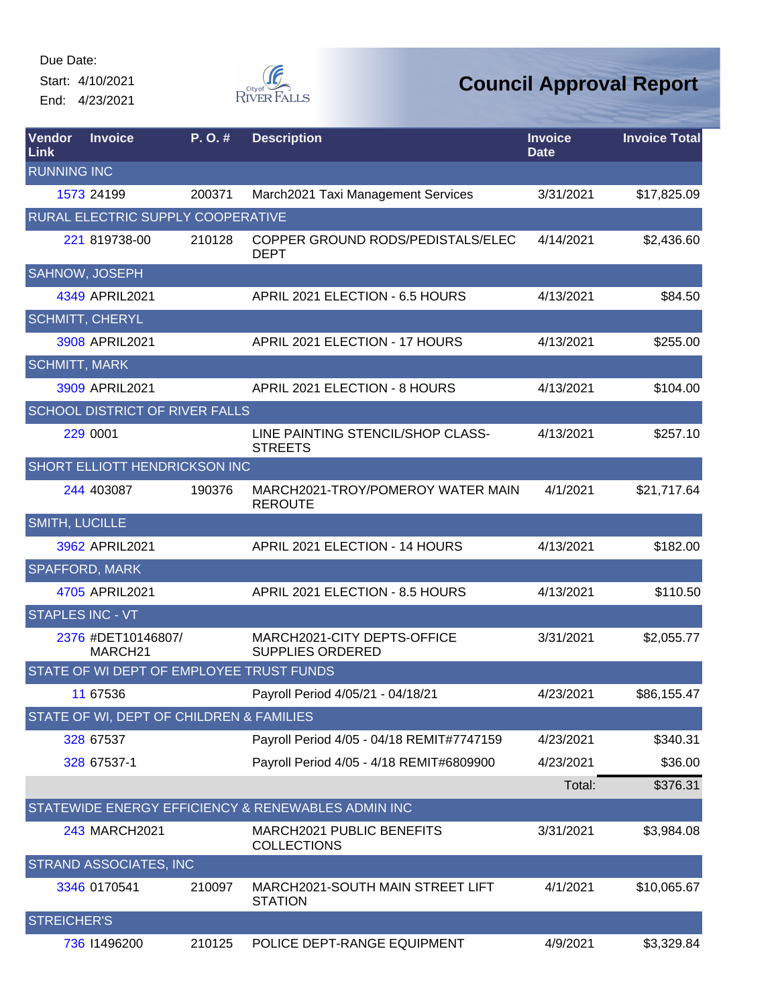Start: 4/10/2021 End: 4/23/2021



| Vendor<br>Link          | <b>Invoice</b>                           | P. O. # | <b>Description</b>                                     | <b>Invoice</b><br><b>Date</b> | <b>Invoice Total</b> |
|-------------------------|------------------------------------------|---------|--------------------------------------------------------|-------------------------------|----------------------|
| <b>RUNNING INC</b>      |                                          |         |                                                        |                               |                      |
|                         | 1573 24199                               | 200371  | March2021 Taxi Management Services                     | 3/31/2021                     | \$17,825.09          |
|                         | RURAL ELECTRIC SUPPLY COOPERATIVE        |         |                                                        |                               |                      |
|                         | 221 819738-00                            | 210128  | COPPER GROUND RODS/PEDISTALS/ELEC<br><b>DEPT</b>       | 4/14/2021                     | \$2,436.60           |
| SAHNOW, JOSEPH          |                                          |         |                                                        |                               |                      |
|                         | 4349 APRIL2021                           |         | APRIL 2021 ELECTION - 6.5 HOURS                        | 4/13/2021                     | \$84.50              |
| <b>SCHMITT, CHERYL</b>  |                                          |         |                                                        |                               |                      |
|                         | 3908 APRIL2021                           |         | APRIL 2021 ELECTION - 17 HOURS                         | 4/13/2021                     | \$255.00             |
| <b>SCHMITT, MARK</b>    |                                          |         |                                                        |                               |                      |
|                         | 3909 APRIL2021                           |         | APRIL 2021 ELECTION - 8 HOURS                          | 4/13/2021                     | \$104.00             |
|                         | <b>SCHOOL DISTRICT OF RIVER FALLS</b>    |         |                                                        |                               |                      |
|                         | 229 0001                                 |         | LINE PAINTING STENCIL/SHOP CLASS-<br><b>STREETS</b>    | 4/13/2021                     | \$257.10             |
|                         | SHORT ELLIOTT HENDRICKSON INC            |         |                                                        |                               |                      |
|                         | 244 403087                               | 190376  | MARCH2021-TROY/POMEROY WATER MAIN<br><b>REROUTE</b>    | 4/1/2021                      | \$21,717.64          |
| <b>SMITH, LUCILLE</b>   |                                          |         |                                                        |                               |                      |
|                         | 3962 APRIL2021                           |         | APRIL 2021 ELECTION - 14 HOURS                         | 4/13/2021                     | \$182.00             |
| <b>SPAFFORD, MARK</b>   |                                          |         |                                                        |                               |                      |
|                         | 4705 APRIL2021                           |         | APRIL 2021 ELECTION - 8.5 HOURS                        | 4/13/2021                     | \$110.50             |
| <b>STAPLES INC - VT</b> |                                          |         |                                                        |                               |                      |
|                         | 2376 #DET10146807/<br>MARCH21            |         | MARCH2021-CITY DEPTS-OFFICE<br><b>SUPPLIES ORDERED</b> | 3/31/2021                     | \$2,055.77           |
|                         | STATE OF WI DEPT OF EMPLOYEE TRUST FUNDS |         |                                                        |                               |                      |
|                         | 11 67536                                 |         | Payroll Period 4/05/21 - 04/18/21                      | 4/23/2021                     | \$86,155.47          |
|                         | STATE OF WI, DEPT OF CHILDREN & FAMILIES |         |                                                        |                               |                      |
|                         | 328 67537                                |         | Payroll Period 4/05 - 04/18 REMIT#7747159              | 4/23/2021                     | \$340.31             |
|                         | 328 67537-1                              |         | Payroll Period 4/05 - 4/18 REMIT#6809900               | 4/23/2021                     | \$36.00              |
|                         |                                          |         |                                                        | Total:                        | \$376.31             |
|                         |                                          |         | STATEWIDE ENERGY EFFICIENCY & RENEWABLES ADMIN INC     |                               |                      |
|                         | 243 MARCH2021                            |         | MARCH2021 PUBLIC BENEFITS<br><b>COLLECTIONS</b>        | 3/31/2021                     | \$3,984.08           |
|                         | <b>STRAND ASSOCIATES, INC</b>            |         |                                                        |                               |                      |
|                         | 3346 0170541                             | 210097  | MARCH2021-SOUTH MAIN STREET LIFT<br><b>STATION</b>     | 4/1/2021                      | \$10,065.67          |
| <b>STREICHER'S</b>      |                                          |         |                                                        |                               |                      |
|                         | 736 11496200                             | 210125  | POLICE DEPT-RANGE EQUIPMENT                            | 4/9/2021                      | \$3,329.84           |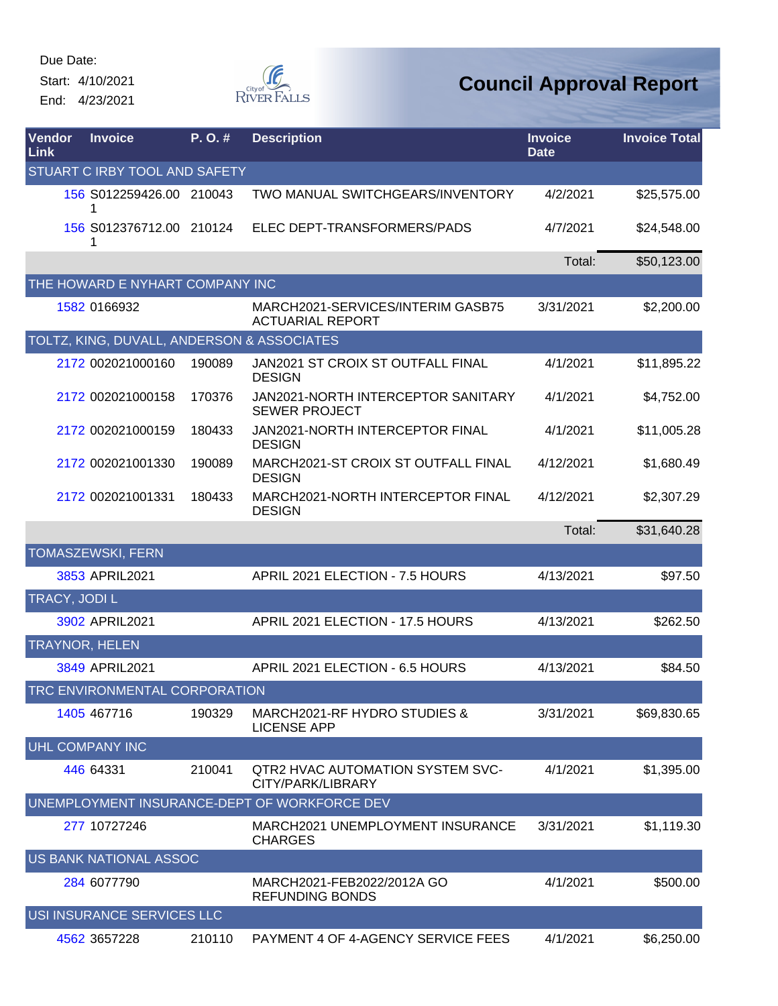Start: 4/10/2021 End: 4/23/2021



| Vendor<br>Link | <b>Invoice</b>                             | P.O.#  | <b>Description</b>                                           | <b>Invoice</b><br><b>Date</b> | <b>Invoice Total</b> |
|----------------|--------------------------------------------|--------|--------------------------------------------------------------|-------------------------------|----------------------|
|                | STUART C IRBY TOOL AND SAFETY              |        |                                                              |                               |                      |
|                | 156 S012259426.00 210043                   |        | TWO MANUAL SWITCHGEARS/INVENTORY                             | 4/2/2021                      | \$25,575.00          |
|                | 156 S012376712.00 210124<br>1              |        | ELEC DEPT-TRANSFORMERS/PADS                                  | 4/7/2021                      | \$24,548.00          |
|                |                                            |        |                                                              | Total:                        | \$50,123.00          |
|                | THE HOWARD E NYHART COMPANY INC            |        |                                                              |                               |                      |
|                | 1582 0166932                               |        | MARCH2021-SERVICES/INTERIM GASB75<br><b>ACTUARIAL REPORT</b> | 3/31/2021                     | \$2,200.00           |
|                | TOLTZ, KING, DUVALL, ANDERSON & ASSOCIATES |        |                                                              |                               |                      |
|                | 2172 002021000160                          | 190089 | JAN2021 ST CROIX ST OUTFALL FINAL<br><b>DESIGN</b>           | 4/1/2021                      | \$11,895.22          |
|                | 2172 002021000158                          | 170376 | JAN2021-NORTH INTERCEPTOR SANITARY<br><b>SEWER PROJECT</b>   | 4/1/2021                      | \$4,752.00           |
|                | 2172 002021000159                          | 180433 | JAN2021-NORTH INTERCEPTOR FINAL<br><b>DESIGN</b>             | 4/1/2021                      | \$11,005.28          |
|                | 2172 002021001330                          | 190089 | MARCH2021-ST CROIX ST OUTFALL FINAL<br><b>DESIGN</b>         | 4/12/2021                     | \$1,680.49           |
|                | 2172 002021001331                          | 180433 | MARCH2021-NORTH INTERCEPTOR FINAL<br><b>DESIGN</b>           | 4/12/2021                     | \$2,307.29           |
|                |                                            |        |                                                              | Total:                        | \$31,640.28          |
|                | <b>TOMASZEWSKI, FERN</b>                   |        |                                                              |                               |                      |
|                | 3853 APRIL2021                             |        | APRIL 2021 ELECTION - 7.5 HOURS                              | 4/13/2021                     | \$97.50              |
| TRACY, JODI L  |                                            |        |                                                              |                               |                      |
|                | 3902 APRIL2021                             |        | APRIL 2021 ELECTION - 17.5 HOURS                             | 4/13/2021                     | \$262.50             |
|                | <b>TRAYNOR, HELEN</b>                      |        |                                                              |                               |                      |
|                | 3849 APRIL2021                             |        | APRIL 2021 ELECTION - 6.5 HOURS                              | 4/13/2021                     | \$84.50              |
|                | TRC ENVIRONMENTAL CORPORATION              |        |                                                              |                               |                      |
|                | 1405 467716                                | 190329 | MARCH2021-RF HYDRO STUDIES &<br><b>LICENSE APP</b>           | 3/31/2021                     | \$69,830.65          |
|                | UHL COMPANY INC                            |        |                                                              |                               |                      |
|                | 446 64331                                  | 210041 | QTR2 HVAC AUTOMATION SYSTEM SVC-<br>CITY/PARK/LIBRARY        | 4/1/2021                      | \$1,395.00           |
|                |                                            |        | UNEMPLOYMENT INSURANCE-DEPT OF WORKFORCE DEV                 |                               |                      |
|                | 277 10727246                               |        | MARCH2021 UNEMPLOYMENT INSURANCE<br><b>CHARGES</b>           | 3/31/2021                     | \$1,119.30           |
|                | US BANK NATIONAL ASSOC                     |        |                                                              |                               |                      |
|                | 284 6077790                                |        | MARCH2021-FEB2022/2012A GO<br><b>REFUNDING BONDS</b>         | 4/1/2021                      | \$500.00             |
|                | USI INSURANCE SERVICES LLC                 |        |                                                              |                               |                      |
|                | 4562 3657228                               | 210110 | PAYMENT 4 OF 4-AGENCY SERVICE FEES                           | 4/1/2021                      | \$6,250.00           |